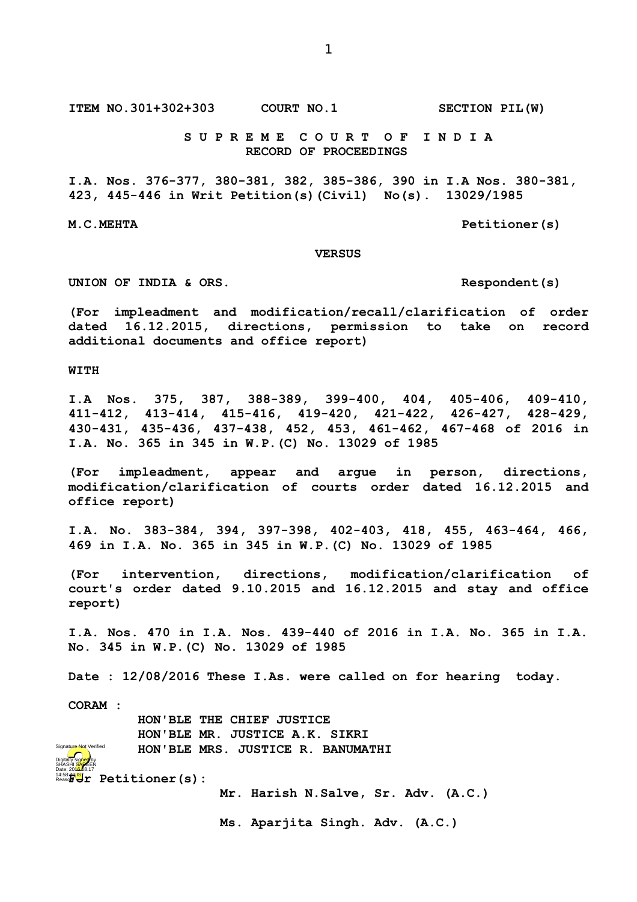**ITEM NO.301+302+303 COURT NO.1 SECTION PIL(W)**

 **S U P R E M E C O U R T O F I N D I A RECORD OF PROCEEDINGS**

**I.A. Nos. 376-377, 380-381, 382, 385-386, 390 in I.A Nos. 380-381, 423, 445-446 in Writ Petition(s)(Civil) No(s). 13029/1985**

M.C.MEHTA Petitioner(s)

## **VERSUS**

**UNION OF INDIA & ORS. Respondent(s)**

**(For impleadment and modification/recall/clarification of order dated 16.12.2015, directions, permission to take on record additional documents and office report)**

**WITH**

**I.A Nos. 375, 387, 388-389, 399-400, 404, 405-406, 409-410, 411-412, 413-414, 415-416, 419-420, 421-422, 426-427, 428-429, 430-431, 435-436, 437-438, 452, 453, 461-462, 467-468 of 2016 in I.A. No. 365 in 345 in W.P.(C) No. 13029 of 1985**

**(For impleadment, appear and argue in person, directions, modification/clarification of courts order dated 16.12.2015 and office report)**

**I.A. No. 383-384, 394, 397-398, 402-403, 418, 455, 463-464, 466, 469 in I.A. No. 365 in 345 in W.P.(C) No. 13029 of 1985**

**(For intervention, directions, modification/clarification of court's order dated 9.10.2015 and 16.12.2015 and stay and office report)**

**I.A. Nos. 470 in I.A. Nos. 439-440 of 2016 in I.A. No. 365 in I.A. No. 345 in W.P.(C) No. 13029 of 1985**

**Date : 12/08/2016 These I.As. were called on for hearing today.**

**CORAM :** 

Digitally signed by

atu<del>re No</del>t Verified

 **HON'BLE THE CHIEF JUSTICE HON'BLE MR. JUSTICE A.K. SIKRI HON'BLE MRS. JUSTICE R. BANUMATHI**

14:58:40<mark>1ST</mark>r Petitioner(s): SHASHI <mark>SAR</mark>EEN Date: 2016.08.17

**Mr. Harish N.Salve, Sr. Adv. (A.C.)**

**Ms. Aparjita Singh. Adv. (A.C.)**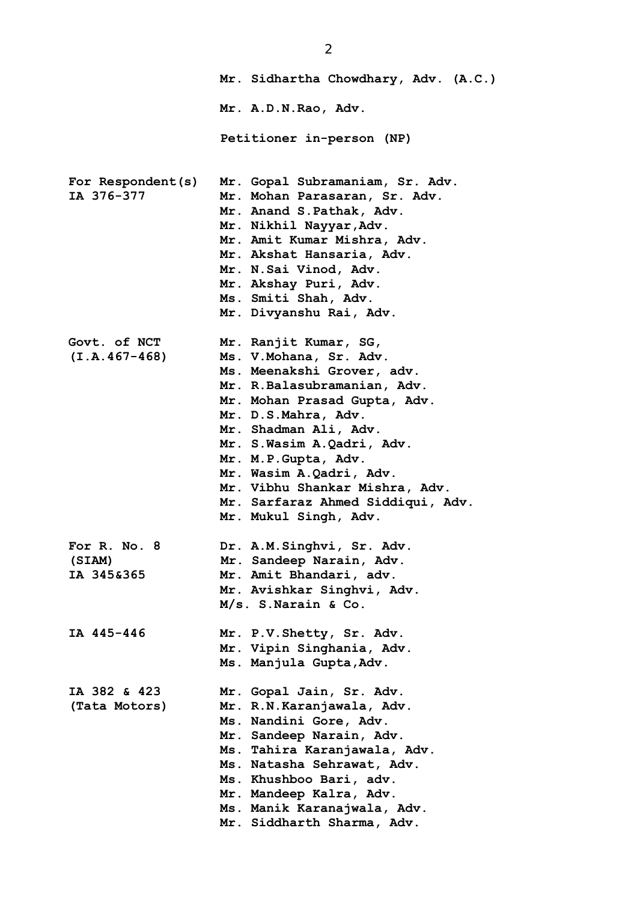|                                      | Mr. Sidhartha Chowdhary, Adv. (A.C.)                                                                                                                                                                                                                                                                                                                                          |
|--------------------------------------|-------------------------------------------------------------------------------------------------------------------------------------------------------------------------------------------------------------------------------------------------------------------------------------------------------------------------------------------------------------------------------|
|                                      | Mr. A.D.N.Rao, Adv.                                                                                                                                                                                                                                                                                                                                                           |
|                                      | Petitioner in-person (NP)                                                                                                                                                                                                                                                                                                                                                     |
| For Respondent(s)<br>IA 376-377      | Mr. Gopal Subramaniam, Sr. Adv.<br>Mr. Mohan Parasaran, Sr. Adv.<br>Mr. Anand S. Pathak, Adv.<br>Mr. Nikhil Nayyar, Adv.<br>Mr. Amit Kumar Mishra, Adv.<br>Mr. Akshat Hansaria, Adv.<br>Mr. N.Sai Vinod, Adv.<br>Mr. Akshay Puri, Adv.<br>Ms. Smiti Shah, Adv.<br>Mr. Divyanshu Rai, Adv.                                                                                     |
| Govt. of NCT<br>$(I.A.467-468)$      | Mr. Ranjit Kumar, SG,<br>Ms. V. Mohana, Sr. Adv.<br>Ms. Meenakshi Grover, adv.<br>Mr. R.Balasubramanian, Adv.<br>Mr. Mohan Prasad Gupta, Adv.<br>Mr. D.S.Mahra, Adv.<br>Mr. Shadman Ali, Adv.<br>Mr. S.Wasim A.Qadri, Adv.<br>Mr. M.P. Gupta, Adv.<br>Mr. Wasim A.Qadri, Adv.<br>Mr. Vibhu Shankar Mishra, Adv.<br>Mr. Sarfaraz Ahmed Siddiqui, Adv.<br>Mr. Mukul Singh, Adv. |
| For R. No. 8<br>(SIAM)<br>IA 345&365 | Dr. A.M. Singhvi, Sr. Adv.<br>Mr. Sandeep Narain, Adv.<br>Mr. Amit Bhandari, adv.<br>Mr. Avishkar Singhvi, Adv.<br>M/s. S. Narain & Co.                                                                                                                                                                                                                                       |
| IA 445-446                           | Mr. P.V. Shetty, Sr. Adv.<br>Mr. Vipin Singhania, Adv.<br>Ms. Manjula Gupta, Adv.                                                                                                                                                                                                                                                                                             |
| IA 382 & 423<br>(Tata Motors)        | Mr. Gopal Jain, Sr. Adv.<br>Mr. R.N. Karanjawala, Adv.<br>Ms. Nandini Gore, Adv.<br>Mr. Sandeep Narain, Adv.<br>Ms. Tahira Karanjawala, Adv.<br>Ms. Natasha Sehrawat, Adv.<br>Ms. Khushboo Bari, adv.<br>Mr. Mandeep Kalra, Adv.<br>Ms. Manik Karanajwala, Adv.<br>Mr. Siddharth Sharma, Adv.                                                                                 |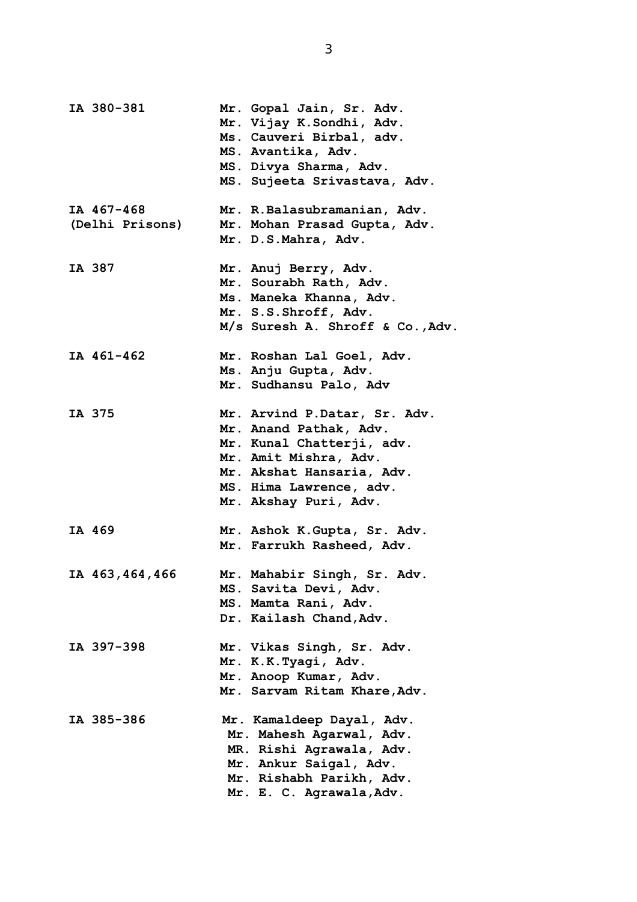| IA 380-381       | Mr. Gopal Jain, Sr. Adv.<br>Mr. Vijay K. Sondhi, Adv.<br>Ms. Cauveri Birbal, adv.<br>MS. Avantika, Adv.<br>MS. Divya Sharma, Adv.<br>MS. Sujeeta Srivastava, Adv. |
|------------------|-------------------------------------------------------------------------------------------------------------------------------------------------------------------|
| IA 467-468       | Mr. R.Balasubramanian, Adv.                                                                                                                                       |
| (Delhi Prisons)  | Mr. Mohan Prasad Gupta, Adv.                                                                                                                                      |
|                  | Mr. D.S.Mahra, Adv.                                                                                                                                               |
| IA 387           | Mr. Anuj Berry, Adv.                                                                                                                                              |
|                  | Mr. Sourabh Rath, Adv.                                                                                                                                            |
|                  | Ms. Maneka Khanna, Adv.                                                                                                                                           |
|                  | Mr. S.S.Shroff, Adv.                                                                                                                                              |
|                  | M/s Suresh A. Shroff & Co., Adv.                                                                                                                                  |
| IA 461-462       | Mr. Roshan Lal Goel, Adv.                                                                                                                                         |
|                  | Ms. Anju Gupta, Adv.                                                                                                                                              |
|                  | Mr. Sudhansu Palo, Adv                                                                                                                                            |
| IA 375           | Mr. Arvind P.Datar, Sr. Adv.                                                                                                                                      |
|                  | Mr. Anand Pathak, Adv.                                                                                                                                            |
|                  | Mr. Kunal Chatterji, adv.                                                                                                                                         |
|                  | Mr. Amit Mishra, Adv.                                                                                                                                             |
|                  | Mr. Akshat Hansaria, Adv.                                                                                                                                         |
|                  | MS. Hima Lawrence, adv.                                                                                                                                           |
|                  | Mr. Akshay Puri, Adv.                                                                                                                                             |
| IA 469           | Mr. Ashok K. Gupta, Sr. Adv.                                                                                                                                      |
|                  | Mr. Farrukh Rasheed, Adv.                                                                                                                                         |
| IA 463, 464, 466 | Mr. Mahabir Singh, Sr. Adv.                                                                                                                                       |
|                  | MS. Savita Devi, Adv.                                                                                                                                             |
|                  | MS. Mamta Rani, Adv.                                                                                                                                              |
|                  | Dr. Kailash Chand, Adv.                                                                                                                                           |
| IA 397-398       | Mr. Vikas Singh, Sr. Adv.                                                                                                                                         |
|                  | Mr. K.K.Tyagi, Adv.                                                                                                                                               |
|                  | Mr. Anoop Kumar, Adv.                                                                                                                                             |
|                  | Mr. Sarvam Ritam Khare, Adv.                                                                                                                                      |
| IA 385-386       | Mr. Kamaldeep Dayal, Adv.                                                                                                                                         |
|                  | Mr. Mahesh Agarwal, Adv.                                                                                                                                          |
|                  | MR. Rishi Agrawala, Adv.                                                                                                                                          |
|                  | Mr. Ankur Saigal, Adv.                                                                                                                                            |
|                  | Mr. Rishabh Parikh, Adv.                                                                                                                                          |
|                  | Mr. E. C. Agrawala, Adv.                                                                                                                                          |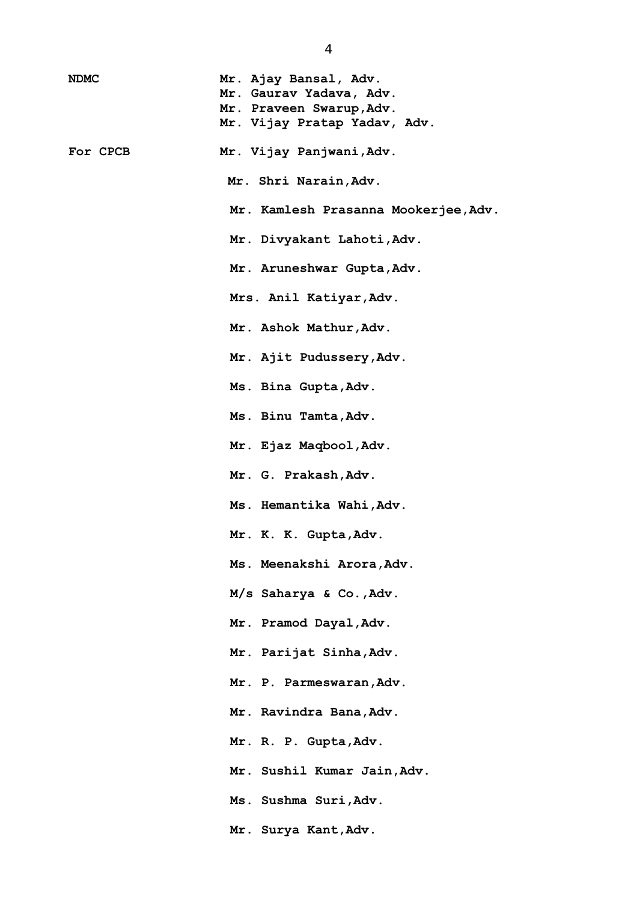| <b>NDMC</b> | Mr. Ajay Bansal, Adv.<br>Mr. Gaurav Yadava, Adv. |
|-------------|--------------------------------------------------|
|             | Mr. Praveen Swarup, Adv.                         |
|             | Mr. Vijay Pratap Yadav, Adv.                     |
| For CPCB    | Mr. Vijay Panjwani, Adv.                         |
|             | Mr. Shri Narain, Adv.                            |
|             | Mr. Kamlesh Prasanna Mookerjee, Adv.             |
|             | Mr. Divyakant Lahoti, Adv.                       |
|             | Mr. Aruneshwar Gupta, Adv.                       |
|             | Mrs. Anil Katiyar, Adv.                          |
|             | Mr. Ashok Mathur, Adv.                           |
|             | Mr. Ajit Pudussery, Adv.                         |
|             | Ms. Bina Gupta, Adv.                             |
|             | Ms. Binu Tamta, Adv.                             |
|             | Mr. Ejaz Maqbool, Adv.                           |
|             | Mr. G. Prakash, Adv.                             |
|             | Ms. Hemantika Wahi, Adv.                         |
|             | Mr. K. K. Gupta, Adv.                            |
|             | Ms. Meenakshi Arora, Adv.                        |
|             | $M/s$ Saharya & Co., Adv.                        |
|             | Mr. Pramod Dayal, Adv.                           |
|             | Mr. Parijat Sinha, Adv.                          |
|             | Mr. P. Parmeswaran, Adv.                         |
|             | Mr. Ravindra Bana, Adv.                          |
|             | Mr. R. P. Gupta, Adv.                            |
|             | Mr. Sushil Kumar Jain, Adv.                      |
|             | Ms. Sushma Suri, Adv.                            |
|             | Mr. Surya Kant, Adv.                             |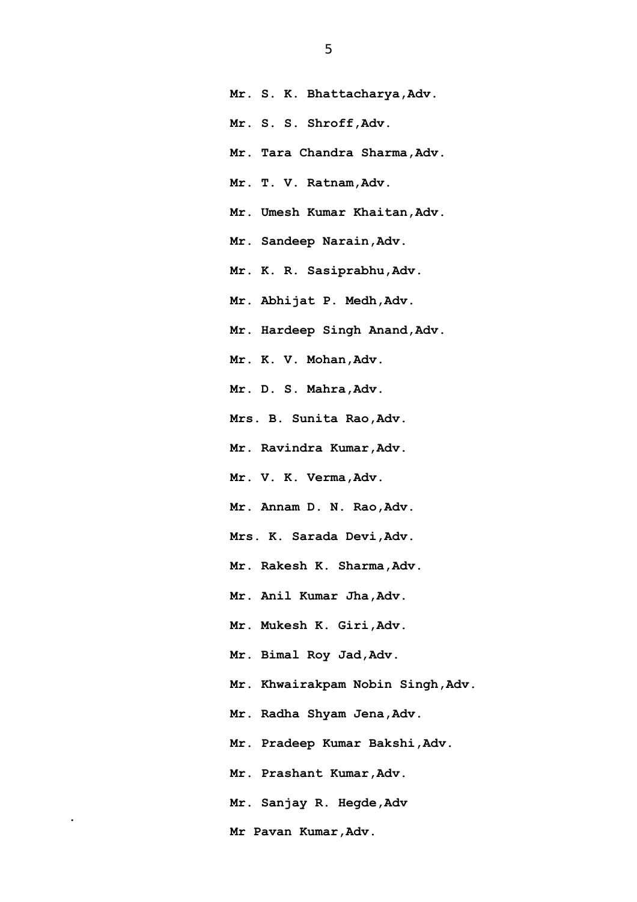**Mr. S. K. Bhattacharya,Adv. Mr. S. S. Shroff,Adv. Mr. Tara Chandra Sharma,Adv. Mr. T. V. Ratnam,Adv. Mr. Umesh Kumar Khaitan,Adv. Mr. Sandeep Narain,Adv. Mr. K. R. Sasiprabhu,Adv. Mr. Abhijat P. Medh,Adv. Mr. Hardeep Singh Anand,Adv. Mr. K. V. Mohan,Adv. Mr. D. S. Mahra,Adv. Mrs. B. Sunita Rao,Adv. Mr. Ravindra Kumar,Adv. Mr. V. K. Verma,Adv. Mr. Annam D. N. Rao,Adv. Mrs. K. Sarada Devi,Adv. Mr. Rakesh K. Sharma,Adv. Mr. Anil Kumar Jha,Adv. Mr. Mukesh K. Giri,Adv. Mr. Bimal Roy Jad,Adv. Mr. Khwairakpam Nobin Singh,Adv. Mr. Radha Shyam Jena,Adv. Mr. Pradeep Kumar Bakshi,Adv. Mr. Prashant Kumar,Adv. Mr. Sanjay R. Hegde,Adv Mr Pavan Kumar,Adv.** 

**.**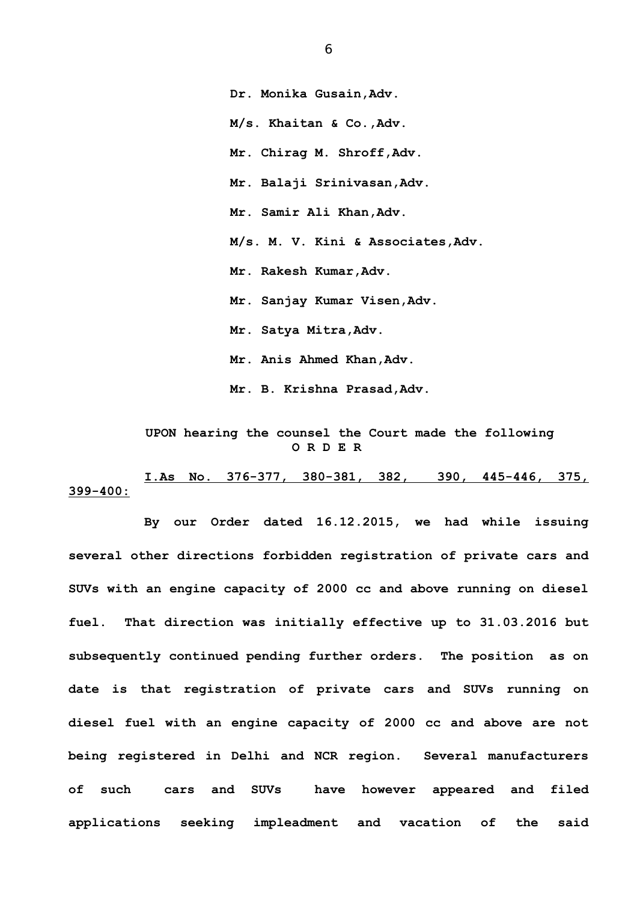**M/s. Khaitan & Co.,Adv. Mr. Chirag M. Shroff,Adv. Mr. Balaji Srinivasan,Adv. Mr. Samir Ali Khan,Adv. M/s. M. V. Kini & Associates,Adv. Mr. Rakesh Kumar,Adv. Mr. Sanjay Kumar Visen,Adv. Mr. Satya Mitra,Adv. Mr. Anis Ahmed Khan,Adv. Mr. B. Krishna Prasad,Adv.**

## **UPON hearing the counsel the Court made the following O R D E R**

**I.As No. 376-377, 380-381, 382, 390, 445-446, 375, 399-400:**

**By our Order dated 16.12.2015, we had while issuing several other directions forbidden registration of private cars and SUVs with an engine capacity of 2000 cc and above running on diesel fuel. That direction was initially effective up to 31.03.2016 but subsequently continued pending further orders. The position as on date is that registration of private cars and SUVs running on diesel fuel with an engine capacity of 2000 cc and above are not being registered in Delhi and NCR region. Several manufacturers of such cars and SUVs have however appeared and filed applications seeking impleadment and vacation of the said**

 **Dr. Monika Gusain,Adv.**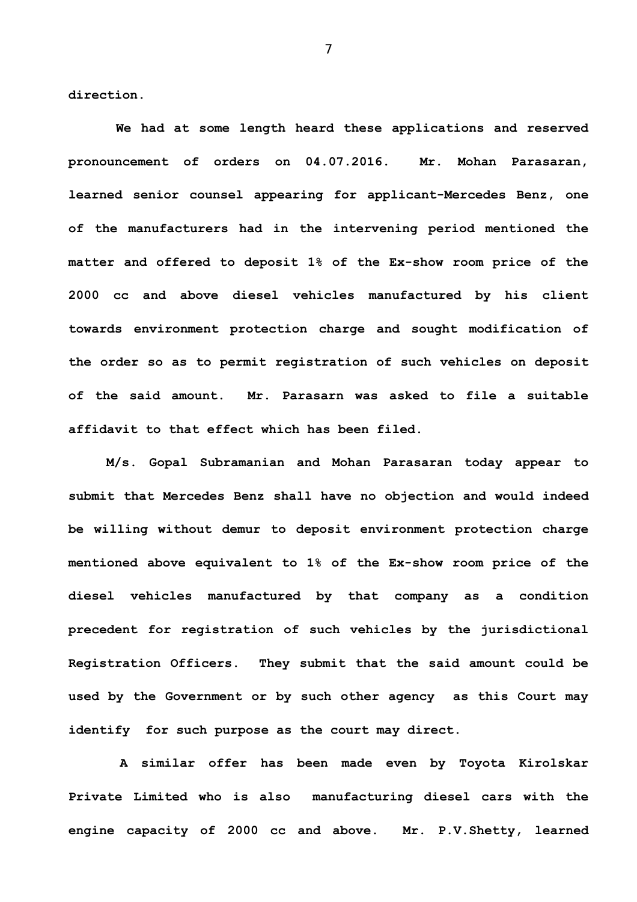**direction.** 

 **We had at some length heard these applications and reserved pronouncement of orders on 04.07.2016. Mr. Mohan Parasaran, learned senior counsel appearing for applicant-Mercedes Benz, one of the manufacturers had in the intervening period mentioned the matter and offered to deposit 1% of the Ex-show room price of the 2000 cc and above diesel vehicles manufactured by his client towards environment protection charge and sought modification of the order so as to permit registration of such vehicles on deposit of the said amount. Mr. Parasarn was asked to file a suitable affidavit to that effect which has been filed.** 

**M/s. Gopal Subramanian and Mohan Parasaran today appear to submit that Mercedes Benz shall have no objection and would indeed be willing without demur to deposit environment protection charge mentioned above equivalent to 1% of the Ex-show room price of the diesel vehicles manufactured by that company as a condition precedent for registration of such vehicles by the jurisdictional Registration Officers. They submit that the said amount could be used by the Government or by such other agency as this Court may identify for such purpose as the court may direct.** 

 **A similar offer has been made even by Toyota Kirolskar Private Limited who is also manufacturing diesel cars with the engine capacity of 2000 cc and above. Mr. P.V.Shetty, learned**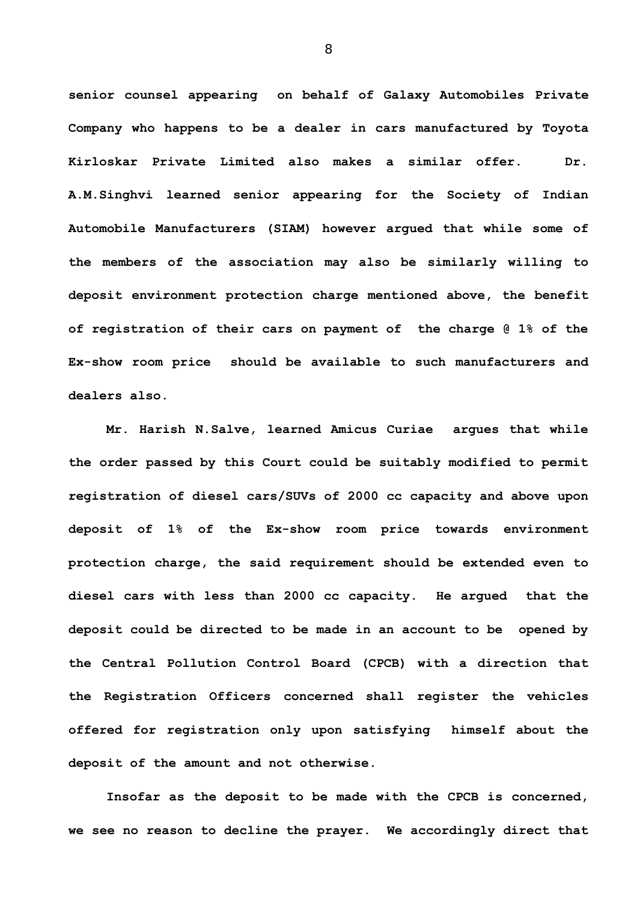**senior counsel appearing on behalf of Galaxy Automobiles Private Company who happens to be a dealer in cars manufactured by Toyota Kirloskar Private Limited also makes a similar offer. Dr. A.M.Singhvi learned senior appearing for the Society of Indian Automobile Manufacturers (SIAM) however argued that while some of the members of the association may also be similarly willing to deposit environment protection charge mentioned above, the benefit of registration of their cars on payment of the charge @ 1% of the Ex-show room price should be available to such manufacturers and dealers also.**

**Mr. Harish N.Salve, learned Amicus Curiae argues that while the order passed by this Court could be suitably modified to permit registration of diesel cars/SUVs of 2000 cc capacity and above upon deposit of 1% of the Ex-show room price towards environment protection charge, the said requirement should be extended even to diesel cars with less than 2000 cc capacity. He argued that the deposit could be directed to be made in an account to be opened by the Central Pollution Control Board (CPCB) with a direction that the Registration Officers concerned shall register the vehicles offered for registration only upon satisfying himself about the deposit of the amount and not otherwise.** 

**Insofar as the deposit to be made with the CPCB is concerned, we see no reason to decline the prayer. We accordingly direct that**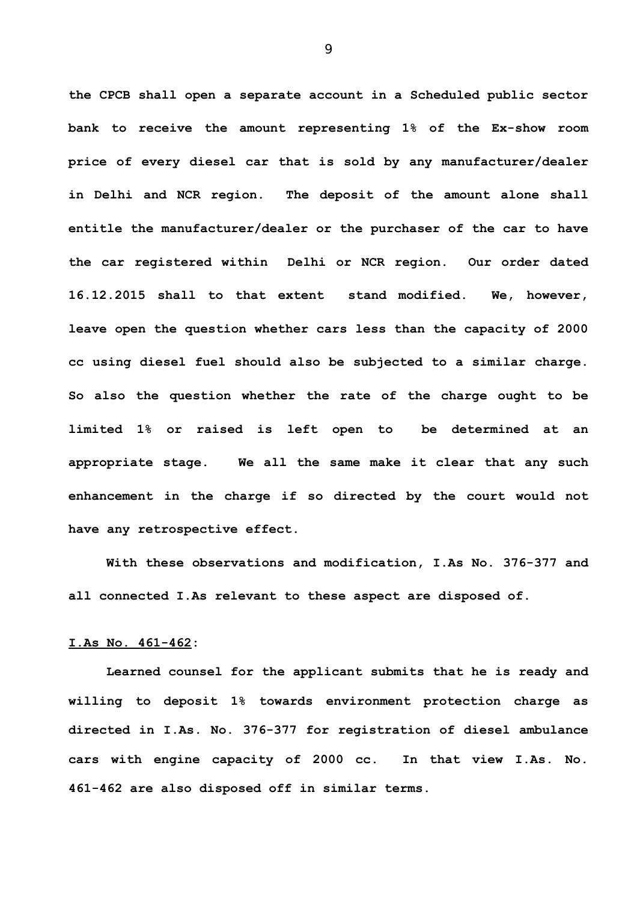**the CPCB shall open a separate account in a Scheduled public sector bank to receive the amount representing 1% of the Ex-show room price of every diesel car that is sold by any manufacturer/dealer in Delhi and NCR region. The deposit of the amount alone shall entitle the manufacturer/dealer or the purchaser of the car to have the car registered within Delhi or NCR region. Our order dated 16.12.2015 shall to that extent stand modified. We, however, leave open the question whether cars less than the capacity of 2000 cc using diesel fuel should also be subjected to a similar charge. So also the question whether the rate of the charge ought to be limited 1% or raised is left open to be determined at an appropriate stage. We all the same make it clear that any such enhancement in the charge if so directed by the court would not have any retrospective effect.**

**With these observations and modification, I.As No. 376-377 and all connected I.As relevant to these aspect are disposed of.**

## **I.As No. 461-462:**

**Learned counsel for the applicant submits that he is ready and willing to deposit 1% towards environment protection charge as directed in I.As. No. 376-377 for registration of diesel ambulance cars with engine capacity of 2000 cc. In that view I.As. No. 461-462 are also disposed off in similar terms.**